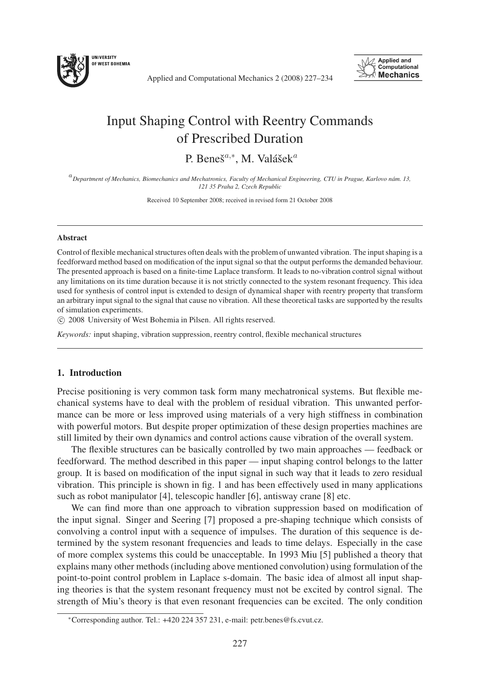

Applied and Computational Mechanics 2 (2008) 227–234



# Input Shaping Control with Reentry Commands of Prescribed Duration

P. Beneš<sup> $a,*$ </sup>, M. Valášek $^a$ 

<sup>a</sup>*Department of Mechanics, Biomechanics and Mechatronics, Faculty of Mechanical Engineering, CTU in Prague, Karlovo n´am. 13, 121 35 Praha 2, Czech Republic*

Received 10 September 2008; received in revised form 21 October 2008

#### Abstract

Control of flexible mechanical structures often deals with the problem of unwanted vibration. The input shaping is a feedforward method based on modification of the input signal so that the output performs the demanded behaviour. The presented approach is based on a finite-time Laplace transform. It leads to no-vibration control signal without any limitations on its time duration because it is not strictly connected to the system resonant frequency. This idea used for synthesis of control input is extended to design of dynamical shaper with reentry property that transform an arbitrary input signal to the signal that cause no vibration. All these theoretical tasks are supported by the results of simulation experiments.

c 2008 University of West Bohemia in Pilsen. All rights reserved.

*Keywords:* input shaping, vibration suppression, reentry control, flexible mechanical structures

## 1. Introduction

Precise positioning is very common task form many mechatronical systems. But flexible mechanical systems have to deal with the problem of residual vibration. This unwanted performance can be more or less improved using materials of a very high stiffness in combination with powerful motors. But despite proper optimization of these design properties machines are still limited by their own dynamics and control actions cause vibration of the overall system.

The flexible structures can be basically controlled by two main approaches — feedback or feedforward. The method described in this paper — input shaping control belongs to the latter group. It is based on modification of the input signal in such way that it leads to zero residual vibration. This principle is shown in fig. 1 and has been effectively used in many applications such as robot manipulator [4], telescopic handler [6], antisway crane [8] etc.

We can find more than one approach to vibration suppression based on modification of the input signal. Singer and Seering [7] proposed a pre-shaping technique which consists of convolving a control input with a sequence of impulses. The duration of this sequence is determined by the system resonant frequencies and leads to time delays. Especially in the case of more complex systems this could be unacceptable. In 1993 Miu [5] published a theory that explains many other methods (including above mentioned convolution) using formulation of the point-to-point control problem in Laplace s-domain. The basic idea of almost all input shaping theories is that the system resonant frequency must not be excited by control signal. The strength of Miu's theory is that even resonant frequencies can be excited. The only condition

<sup>∗</sup>Corresponding author. Tel.: +420 224 357 231, e-mail: petr.benes@fs.cvut.cz.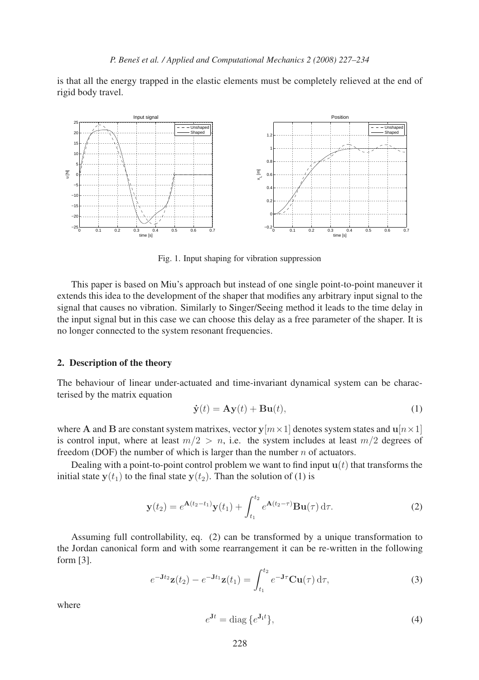is that all the energy trapped in the elastic elements must be completely relieved at the end of rigid body travel.



Fig. 1. Input shaping for vibration suppression

This paper is based on Miu's approach but instead of one single point-to-point maneuver it extends this idea to the development of the shaper that modifies any arbitrary input signal to the signal that causes no vibration. Similarly to Singer/Seeing method it leads to the time delay in the input signal but in this case we can choose this delay as a free parameter of the shaper. It is no longer connected to the system resonant frequencies.

#### 2. Description of the theory

The behaviour of linear under-actuated and time-invariant dynamical system can be characterised by the matrix equation

$$
\dot{\mathbf{y}}(t) = \mathbf{A}\mathbf{y}(t) + \mathbf{B}\mathbf{u}(t),\tag{1}
$$

where **A** and **B** are constant system matrixes, vector  $y[m \times 1]$  denotes system states and  $u[n \times 1]$ is control input, where at least  $m/2 > n$ , i.e. the system includes at least  $m/2$  degrees of freedom (DOF) the number of which is larger than the number  $n$  of actuators.

Dealing with a point-to-point control problem we want to find input  $\mathbf{u}(t)$  that transforms the initial state  $\mathbf{v}(t_1)$  to the final state  $\mathbf{v}(t_2)$ . Than the solution of (1) is

$$
\mathbf{y}(t_2) = e^{\mathbf{A}(t_2 - t_1)} \mathbf{y}(t_1) + \int_{t_1}^{t_2} e^{\mathbf{A}(t_2 - \tau)} \mathbf{B} \mathbf{u}(\tau) d\tau.
$$
 (2)

Assuming full controllability, eq. (2) can be transformed by a unique transformation to the Jordan canonical form and with some rearrangement it can be re-written in the following form [3].

$$
e^{-\mathbf{J}t_2}\mathbf{z}(t_2) - e^{-\mathbf{J}t_1}\mathbf{z}(t_1) = \int_{t_1}^{t_2} e^{-\mathbf{J}\tau} \mathbf{C}\mathbf{u}(\tau) d\tau,
$$
 (3)

where

$$
e^{\mathbf{J}t} = \text{diag}\left\{e^{\mathbf{J}_i t}\right\},\tag{4}
$$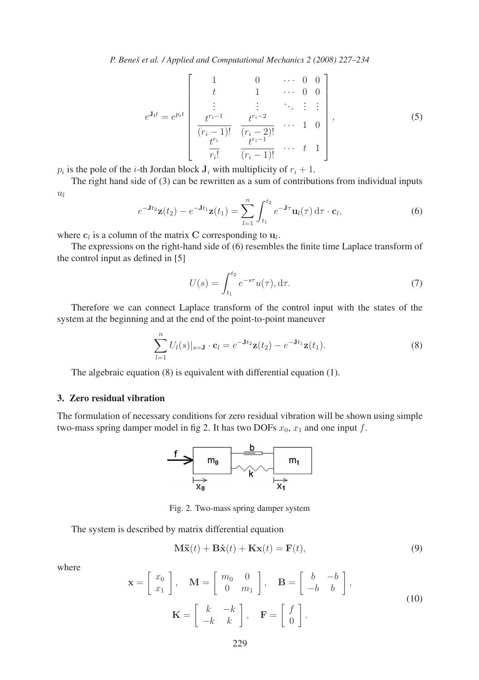*P. Beneˇs et al. / Applied and Computational Mechanics 2 (2008) 227–234*

$$
e^{\mathbf{J}_{\mathbf{i}}t} = e^{p_{i}t} \begin{bmatrix} 1 & 0 & \cdots & 0 & 0 \\ t & 1 & \cdots & 0 & 0 \\ \vdots & \vdots & \ddots & \vdots & \vdots \\ \frac{t^{r_{i}-1}}{(r_{i}-1)!} & \frac{t^{r_{i}-2}}{(r_{i}-2)!} & \cdots & 1 & 0 \\ \frac{t^{r_{i}}}{r_{i}!} & \frac{t^{r_{i}-1}}{(r_{i}-1)!} & \cdots & t & 1 \end{bmatrix},
$$
(5)

 $p_i$  is the pole of the *i*-th Jordan block  $\mathbf{J}_i$  with multiplicity of  $r_i + 1$ .

The right hand side of (3) can be rewritten as a sum of contributions from individual inputs  $u_l$ 

$$
e^{-\mathbf{J}t_2}\mathbf{z}(t_2) - e^{-\mathbf{J}t_1}\mathbf{z}(t_1) = \sum_{l=1}^n \int_{t_1}^{t_2} e^{-\mathbf{J}\tau}\mathbf{u}_l(\tau) d\tau \cdot \mathbf{c}_l,
$$
\n(6)

where  $\mathbf{c}_l$  is a column of the matrix **C** corresponding to  $\mathbf{u}_l$ .

The expressions on the right-hand side of (6) resembles the finite time Laplace transform of the control input as defined in [5]

$$
U(s) = \int_{t_1}^{t_2} e^{-s\tau} u(\tau), d\tau.
$$
 (7)

Therefore we can connect Laplace transform of the control input with the states of the system at the beginning and at the end of the point-to-point maneuver

$$
\sum_{l=1}^{n} U_l(s)|_{s=J} \cdot \mathbf{c}_l = e^{-Jt_2} \mathbf{z}(t_2) - e^{-Jt_1} \mathbf{z}(t_1).
$$
 (8)

The algebraic equation (8) is equivalent with differential equation (1).

### 3. Zero residual vibration

The formulation of necessary conditions for zero residual vibration will be shown using simple two-mass spring damper model in fig 2. It has two DOFs  $x_0$ ,  $x_1$  and one input f.



Fig. 2. Two-mass spring damper system

The system is described by matrix differential equation

$$
\mathbf{M}\ddot{\mathbf{x}}(t) + \mathbf{B}\dot{\mathbf{x}}(t) + \mathbf{K}\mathbf{x}(t) = \mathbf{F}(t),
$$
\n(9)

where

$$
\mathbf{x} = \begin{bmatrix} x_0 \\ x_1 \end{bmatrix}, \quad \mathbf{M} = \begin{bmatrix} m_0 & 0 \\ 0 & m_1 \end{bmatrix}, \quad \mathbf{B} = \begin{bmatrix} b & -b \\ -b & b \end{bmatrix},
$$

$$
\mathbf{K} = \begin{bmatrix} k & -k \\ -k & k \end{bmatrix}, \quad \mathbf{F} = \begin{bmatrix} f \\ 0 \end{bmatrix}.
$$
 (10)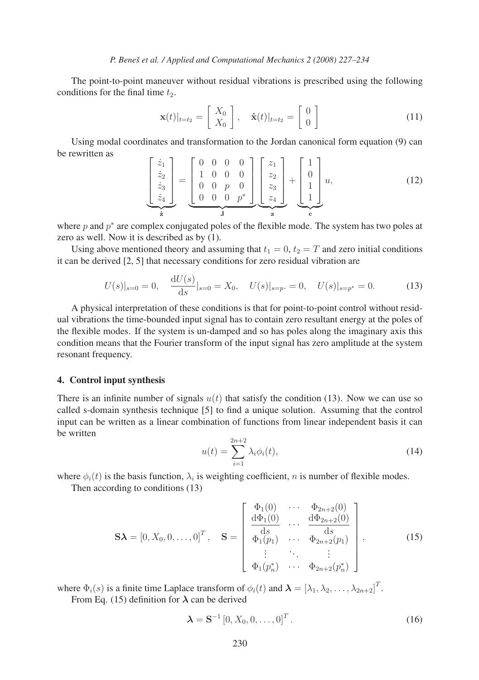The point-to-point maneuver without residual vibrations is prescribed using the following conditions for the final time  $t_2$ .

$$
\mathbf{x}(t)|_{t=t_2} = \begin{bmatrix} X_0 \\ X_0 \end{bmatrix}, \quad \dot{\mathbf{x}}(t)|_{t=t_2} = \begin{bmatrix} 0 \\ 0 \end{bmatrix}
$$
 (11)

Using modal coordinates and transformation to the Jordan canonical form equation (9) can be rewritten as

$$
\begin{bmatrix} \dot{z}_1 \\ \dot{z}_2 \\ \dot{z}_3 \\ \dot{z}_4 \end{bmatrix} = \underbrace{\begin{bmatrix} 0 & 0 & 0 & 0 \\ 1 & 0 & 0 & 0 \\ 0 & 0 & p & 0 \\ 0 & 0 & 0 & p^* \end{bmatrix}}_{\mathbf{J}} \underbrace{\begin{bmatrix} z_1 \\ z_2 \\ z_3 \\ z_4 \end{bmatrix}}_{\mathbf{z}} + \underbrace{\begin{bmatrix} 1 \\ 0 \\ 1 \\ 1 \end{bmatrix}}_{\mathbf{c}} u,
$$
\n(12)

where p and  $p^*$  are complex conjugated poles of the flexible mode. The system has two poles at zero as well. Now it is described as by (1).

Using above mentioned theory and assuming that  $t_1 = 0$ ,  $t_2 = T$  and zero initial conditions it can be derived [2, 5] that necessary conditions for zero residual vibration are

$$
U(s)|_{s=0} = 0, \quad \frac{\mathrm{d}U(s)}{\mathrm{d}s}|_{s=0} = X_0, \quad U(s)|_{s=p} = 0, \quad U(s)|_{s=p^*} = 0. \tag{13}
$$

A physical interpretation of these conditions is that for point-to-point control without residual vibrations the time-bounded input signal has to contain zero resultant energy at the poles of the flexible modes. If the system is un-damped and so has poles along the imaginary axis this condition means that the Fourier transform of the input signal has zero amplitude at the system resonant frequency.

#### 4. Control input synthesis

There is an infinite number of signals  $u(t)$  that satisfy the condition (13). Now we can use so called s-domain synthesis technique [5] to find a unique solution. Assuming that the control input can be written as a linear combination of functions from linear independent basis it can be written

$$
u(t) = \sum_{i=1}^{2n+2} \lambda_i \phi_i(t), \qquad (14)
$$

where  $\phi_i(t)$  is the basis function,  $\lambda_i$  is weighting coefficient, n is number of flexible modes.

Then according to conditions (13)

$$
\mathbf{S}\boldsymbol{\lambda} = [0, X_0, 0, \dots, 0]^T, \quad \mathbf{S} = \begin{bmatrix} \Phi_1(0) & \cdots & \Phi_{2n+2}(0) \\ \frac{d\Phi_1(0)}{ds} & \cdots & \frac{d\Phi_{2n+2}(0)}{ds} \\ \Phi_1(p_1) & \cdots & \Phi_{2n+2}(p_1) \\ \vdots & \ddots & \vdots \\ \Phi_1(p_n^*) & \cdots & \Phi_{2n+2}(p_n^*) \end{bmatrix},
$$
(15)

where  $\Phi_i(s)$  is a finite time Laplace transform of  $\phi_i(t)$  and  $\boldsymbol{\lambda} = [\lambda_1, \lambda_2, \dots, \lambda_{2n+2}]^T$ .

From Eq. (15) definition for  $\lambda$  can be derived

$$
\mathbf{\lambda} = \mathbf{S}^{-1} [0, X_0, 0, \dots, 0]^T.
$$
 (16)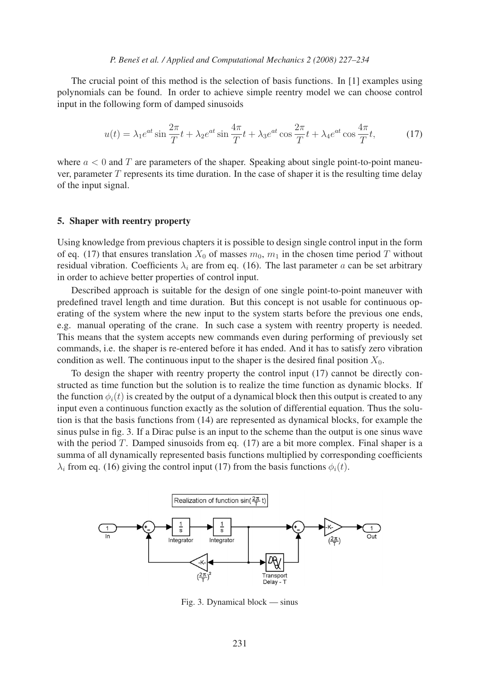The crucial point of this method is the selection of basis functions. In [1] examples using polynomials can be found. In order to achieve simple reentry model we can choose control input in the following form of damped sinusoids

$$
u(t) = \lambda_1 e^{at} \sin \frac{2\pi}{T} t + \lambda_2 e^{at} \sin \frac{4\pi}{T} t + \lambda_3 e^{at} \cos \frac{2\pi}{T} t + \lambda_4 e^{at} \cos \frac{4\pi}{T} t,\tag{17}
$$

where  $a < 0$  and T are parameters of the shaper. Speaking about single point-to-point maneuver, parameter  $T$  represents its time duration. In the case of shaper it is the resulting time delay of the input signal.

#### 5. Shaper with reentry property

Using knowledge from previous chapters it is possible to design single control input in the form of eq. (17) that ensures translation  $X_0$  of masses  $m_0$ ,  $m_1$  in the chosen time period T without residual vibration. Coefficients  $\lambda_i$  are from eq. (16). The last parameter a can be set arbitrary in order to achieve better properties of control input.

Described approach is suitable for the design of one single point-to-point maneuver with predefined travel length and time duration. But this concept is not usable for continuous operating of the system where the new input to the system starts before the previous one ends, e.g. manual operating of the crane. In such case a system with reentry property is needed. This means that the system accepts new commands even during performing of previously set commands, i.e. the shaper is re-entered before it has ended. And it has to satisfy zero vibration condition as well. The continuous input to the shaper is the desired final position  $X_0$ .

To design the shaper with reentry property the control input (17) cannot be directly constructed as time function but the solution is to realize the time function as dynamic blocks. If the function  $\phi_i(t)$  is created by the output of a dynamical block then this output is created to any input even a continuous function exactly as the solution of differential equation. Thus the solution is that the basis functions from (14) are represented as dynamical blocks, for example the sinus pulse in fig. 3. If a Dirac pulse is an input to the scheme than the output is one sinus wave with the period  $T$ . Damped sinusoids from eq. (17) are a bit more complex. Final shaper is a summa of all dynamically represented basis functions multiplied by corresponding coefficients  $\lambda_i$  from eq. (16) giving the control input (17) from the basis functions  $\phi_i(t)$ .



Fig. 3. Dynamical block — sinus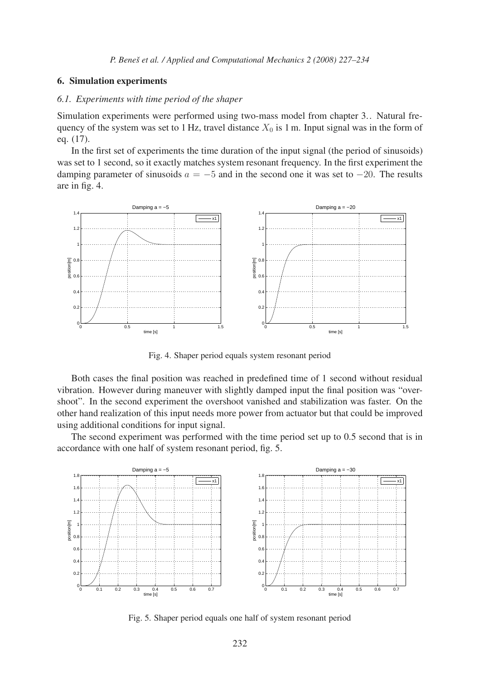#### 6. Simulation experiments

#### *6.1. Experiments with time period of the shaper*

Simulation experiments were performed using two-mass model from chapter 3.. Natural frequency of the system was set to 1 Hz, travel distance  $X_0$  is 1 m. Input signal was in the form of eq. (17).

In the first set of experiments the time duration of the input signal (the period of sinusoids) was set to 1 second, so it exactly matches system resonant frequency. In the first experiment the damping parameter of sinusoids  $a = -5$  and in the second one it was set to  $-20$ . The results are in fig. 4.



Fig. 4. Shaper period equals system resonant period

Both cases the final position was reached in predefined time of 1 second without residual vibration. However during maneuver with slightly damped input the final position was "overshoot". In the second experiment the overshoot vanished and stabilization was faster. On the other hand realization of this input needs more power from actuator but that could be improved using additional conditions for input signal.

The second experiment was performed with the time period set up to 0.5 second that is in accordance with one half of system resonant period, fig. 5.



Fig. 5. Shaper period equals one half of system resonant period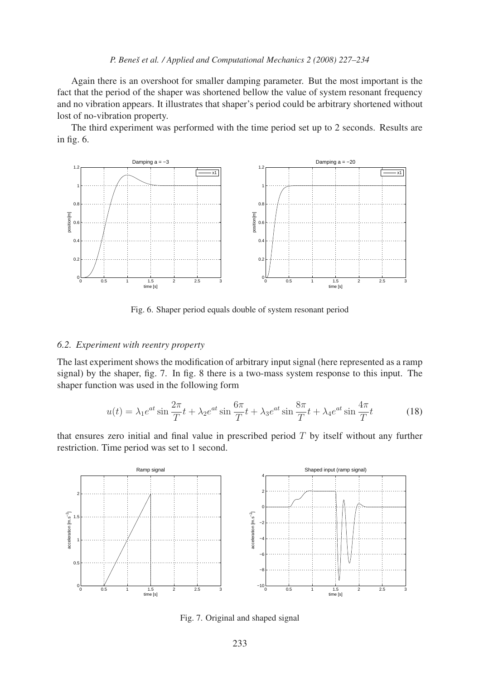#### *P. Beneˇs et al. / Applied and Computational Mechanics 2 (2008) 227–234*

Again there is an overshoot for smaller damping parameter. But the most important is the fact that the period of the shaper was shortened bellow the value of system resonant frequency and no vibration appears. It illustrates that shaper's period could be arbitrary shortened without lost of no-vibration property.

The third experiment was performed with the time period set up to 2 seconds. Results are in fig. 6.



Fig. 6. Shaper period equals double of system resonant period

#### *6.2. Experiment with reentry property*

The last experiment shows the modification of arbitrary input signal (here represented as a ramp signal) by the shaper, fig. 7. In fig. 8 there is a two-mass system response to this input. The shaper function was used in the following form

$$
u(t) = \lambda_1 e^{at} \sin \frac{2\pi}{T} t + \lambda_2 e^{at} \sin \frac{6\pi}{T} t + \lambda_3 e^{at} \sin \frac{8\pi}{T} t + \lambda_4 e^{at} \sin \frac{4\pi}{T} t \tag{18}
$$

that ensures zero initial and final value in prescribed period  $T$  by itself without any further restriction. Time period was set to 1 second.



Fig. 7. Original and shaped signal